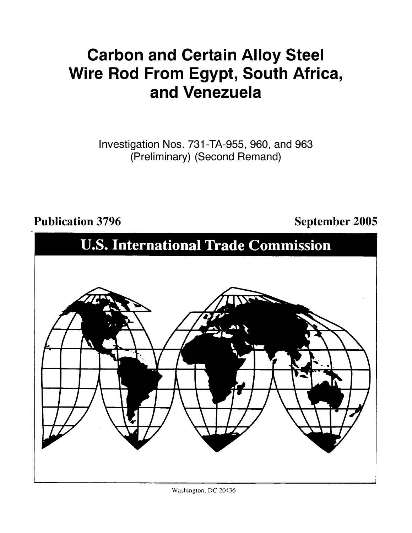# **Carbon and Certain Alloy Steel Wire Rod From Egypt, South Africa, and Venezuela**

Investigation Nos. 731-TA-955, 960, and 963 (Preliminary) (Second Remand)

# Publication 3796 **September 2005**

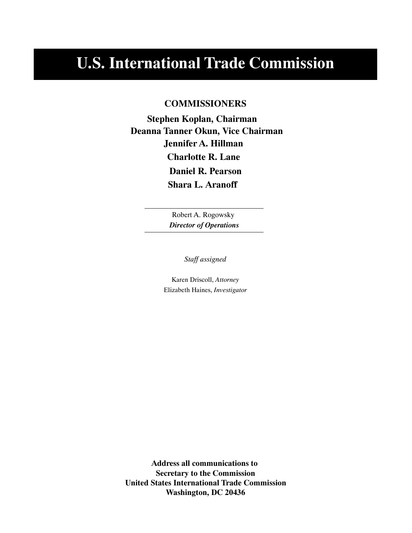# **U.S. International Trade Commission**

# **COMMISSIONERS**

**Jennifer A. Hillman Deanna Tanner Okun, Vice Chairman Stephen Koplan, Chairman Charlotte R. Lane Daniel R. Pearson Shara L. Aranoff**

> Robert A. Rogowsky *Director of Operations*

> > *Staff assigned*

Karen Driscoll, *Attorney* Elizabeth Haines, *Investigator*

**Address all communications to Secretary to the Commission United States International Trade Commission Washington, DC 20436**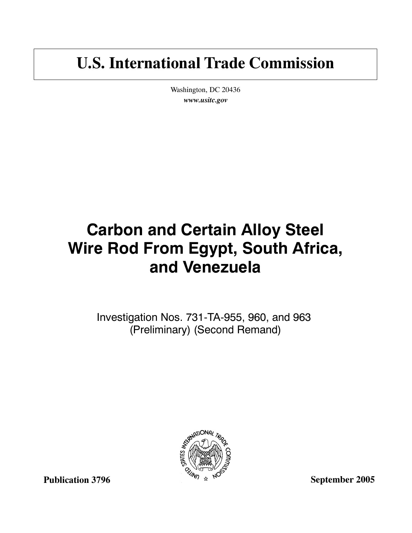# **U.S. International Trade Commission**

Washington, DC 20436 *www.usitc.gov*

# **Carbon and Certain Alloy Steel Wire Rod From Egypt, South Africa, and Venezuela**

Investigation Nos. 731-TA-955, 960, and 963 (Preliminary) (Second Remand)



**Publication 3796**

**September 2005**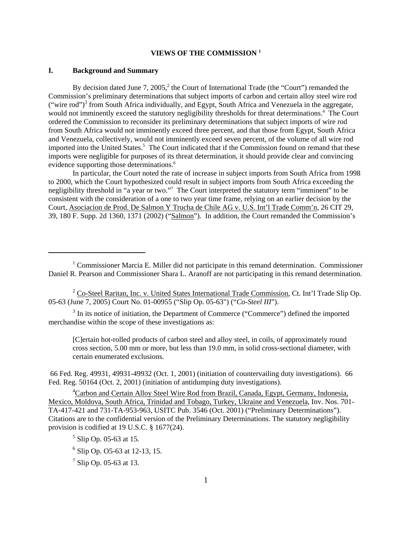# **VIEWS OF THE COMMISSION 1**

### **I. Background and Summary**

By decision dated June 7, 2005,<sup>2</sup> the Court of International Trade (the "Court") remanded the Commission's preliminary determinations that subject imports of carbon and certain alloy steel wire rod ("wire rod")<sup>3</sup> from South Africa individually, and Egypt, South Africa and Venezuela in the aggregate, would not imminently exceed the statutory negligibility thresholds for threat determinations.<sup>4</sup> The Court ordered the Commission to reconsider its preliminary determinations that subject imports of wire rod from South Africa would not imminently exceed three percent, and that those from Egypt, South Africa and Venezuela, collectively, would not imminently exceed seven percent, of the volume of all wire rod imported into the United States.<sup>5</sup> The Court indicated that if the Commission found on remand that these imports were negligible for purposes of its threat determination, it should provide clear and convincing evidence supporting those determinations.<sup>6</sup>

In particular, the Court noted the rate of increase in subject imports from South Africa from 1998 to 2000, which the Court hypothesized could result in subject imports from South Africa exceeding the negligibility threshold in "a year or two."<sup>7</sup> The Court interpreted the statutory term "imminent" to be consistent with the consideration of a one to two year time frame, relying on an earlier decision by the Court, Asociacion de Prod. De Salmon Y Trucha de Chile AG v. U.S. Int'l Trade Comm'n, 26 CIT 29, 39, 180 F. Supp. 2d 1360, 1371 (2002) ("Salmon"). In addition, the Court remanded the Commission's

<sup>3</sup> In its notice of initiation, the Department of Commerce ("Commerce") defined the imported merchandise within the scope of these investigations as:

[C]ertain hot-rolled products of carbon steel and alloy steel, in coils, of approximately round cross section, 5.00 mm or more, but less than 19.0 mm, in solid cross-sectional diameter, with certain enumerated exclusions.

 66 Fed. Reg. 49931, 49931-49932 (Oct. 1, 2001) (initiation of countervailing duty investigations). 66 Fed. Reg. 50164 (Oct. 2, 2001) (initiation of antidumping duty investigations).

 $1$  Commissioner Marcia E. Miller did not participate in this remand determination. Commissioner Daniel R. Pearson and Commissioner Shara L. Aranoff are not participating in this remand determination.

<sup>&</sup>lt;sup>2</sup> Co-Steel Raritan, Inc. v. United States International Trade Commission, Ct. Int'l Trade Slip Op. 05-63 (June 7, 2005) Court No. 01-00955 ("Slip Op. 05-63") ("*Co-Steel III*").

<sup>&</sup>lt;sup>4</sup>Carbon and Certain Alloy Steel Wire Rod from Brazil, Canada, Egypt, Germany, Indonesia, Mexico, Moldova, South Africa, Trinidad and Tobago, Turkey, Ukraine and Venezuela, Inv. Nos. 701- TA-417-421 and 731-TA-953-963, USITC Pub. 3546 (Oct. 2001) ("Preliminary Determinations"). Citations are to the confidential version of the Preliminary Determinations. The statutory negligibility provision is codified at 19 U.S.C. § 1677(24).

 $<sup>5</sup>$  Slip Op. 05-63 at 15.</sup>

 $<sup>6</sup>$  Slip Op. O5-63 at 12-13, 15.</sup>

<sup>7</sup> Slip Op. 05-63 at 13.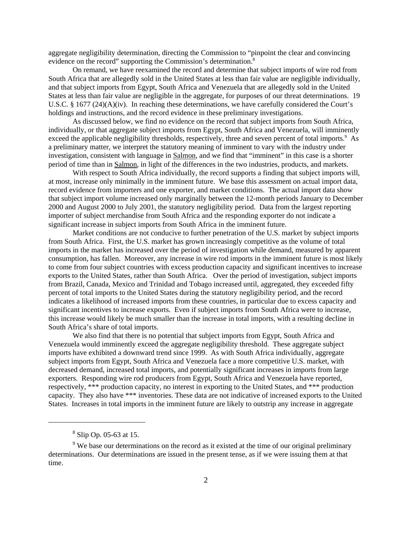aggregate negligibility determination, directing the Commission to "pinpoint the clear and convincing evidence on the record" supporting the Commission's determination.<sup>8</sup>

On remand, we have reexamined the record and determine that subject imports of wire rod from South Africa that are allegedly sold in the United States at less than fair value are negligible individually, and that subject imports from Egypt, South Africa and Venezuela that are allegedly sold in the United States at less than fair value are negligible in the aggregate, for purposes of our threat determinations. 19 U.S.C. § 1677 (24)(A)(iv). In reaching these determinations, we have carefully considered the Court's holdings and instructions, and the record evidence in these preliminary investigations.

As discussed below, we find no evidence on the record that subject imports from South Africa, individually, or that aggregate subject imports from Egypt, South Africa and Venezuela, will imminently exceed the applicable negligibility thresholds, respectively, three and seven percent of total imports.<sup>9</sup> As a preliminary matter, we interpret the statutory meaning of imminent to vary with the industry under investigation, consistent with language in Salmon, and we find that "imminent" in this case is a shorter period of time than in Salmon, in light of the differences in the two industries, products, and markets.

With respect to South Africa individually, the record supports a finding that subject imports will, at most, increase only minimally in the imminent future. We base this assessment on actual import data, record evidence from importers and one exporter, and market conditions. The actual import data show that subject import volume increased only marginally between the 12-month periods January to December 2000 and August 2000 to July 2001, the statutory negligibility period. Data from the largest reporting importer of subject merchandise from South Africa and the responding exporter do not indicate a significant increase in subject imports from South Africa in the imminent future.

Market conditions are not conducive to further penetration of the U.S. market by subject imports from South Africa. First, the U.S. market has grown increasingly competitive as the volume of total imports in the market has increased over the period of investigation while demand, measured by apparent consumption, has fallen. Moreover, any increase in wire rod imports in the imminent future is most likely to come from four subject countries with excess production capacity and significant incentives to increase exports to the United States, rather than South Africa. Over the period of investigation, subject imports from Brazil, Canada, Mexico and Trinidad and Tobago increased until, aggregated, they exceeded fifty percent of total imports to the United States during the statutory negligibility period, and the record indicates a likelihood of increased imports from these countries, in particular due to excess capacity and significant incentives to increase exports. Even if subject imports from South Africa were to increase, this increase would likely be much smaller than the increase in total imports, with a resulting decline in South Africa's share of total imports.

We also find that there is no potential that subject imports from Egypt, South Africa and Venezuela would imminently exceed the aggregate negligibility threshold. These aggregate subject imports have exhibited a downward trend since 1999. As with South Africa individually, aggregate subject imports from Egypt, South Africa and Venezuela face a more competitive U.S. market, with decreased demand, increased total imports, and potentially significant increases in imports from large exporters. Responding wire rod producers from Egypt, South Africa and Venezuela have reported, respectively, \*\*\* production capacity, no interest in exporting to the United States, and \*\*\* production capacity. They also have \*\*\* inventories. These data are not indicative of increased exports to the United States. Increases in total imports in the imminent future are likely to outstrip any increase in aggregate

<sup>&</sup>lt;sup>8</sup> Slip Op. 05-63 at 15.

<sup>&</sup>lt;sup>9</sup> We base our determinations on the record as it existed at the time of our original preliminary determinations. Our determinations are issued in the present tense, as if we were issuing them at that time.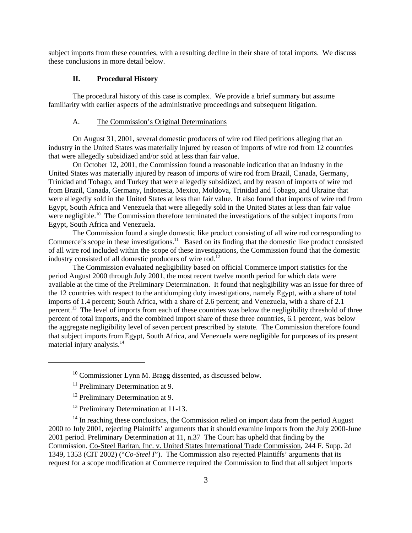subject imports from these countries, with a resulting decline in their share of total imports. We discuss these conclusions in more detail below.

### **II. Procedural History**

The procedural history of this case is complex. We provide a brief summary but assume familiarity with earlier aspects of the administrative proceedings and subsequent litigation.

## A. The Commission's Original Determinations

On August 31, 2001, several domestic producers of wire rod filed petitions alleging that an industry in the United States was materially injured by reason of imports of wire rod from 12 countries that were allegedly subsidized and/or sold at less than fair value.

On October 12, 2001, the Commission found a reasonable indication that an industry in the United States was materially injured by reason of imports of wire rod from Brazil, Canada, Germany, Trinidad and Tobago, and Turkey that were allegedly subsidized, and by reason of imports of wire rod from Brazil, Canada, Germany, Indonesia, Mexico, Moldova, Trinidad and Tobago, and Ukraine that were allegedly sold in the United States at less than fair value. It also found that imports of wire rod from Egypt, South Africa and Venezuela that were allegedly sold in the United States at less than fair value were negligible.<sup>10</sup> The Commission therefore terminated the investigations of the subject imports from Egypt, South Africa and Venezuela.

The Commission found a single domestic like product consisting of all wire rod corresponding to Commerce's scope in these investigations.<sup>11</sup> Based on its finding that the domestic like product consisted of all wire rod included within the scope of these investigations, the Commission found that the domestic industry consisted of all domestic producers of wire rod.<sup>12</sup>

The Commission evaluated negligibility based on official Commerce import statistics for the period August 2000 through July 2001, the most recent twelve month period for which data were available at the time of the Preliminary Determination. It found that negligibility was an issue for three of the 12 countries with respect to the antidumping duty investigations, namely Egypt, with a share of total imports of 1.4 percent; South Africa, with a share of 2.6 percent; and Venezuela, with a share of 2.1 percent.13 The level of imports from each of these countries was below the negligibility threshold of three percent of total imports, and the combined import share of these three countries, 6.1 percent, was below the aggregate negligibility level of seven percent prescribed by statute. The Commission therefore found that subject imports from Egypt, South Africa, and Venezuela were negligible for purposes of its present material injury analysis.<sup>14</sup>

- <sup>12</sup> Preliminary Determination at 9.
- <sup>13</sup> Preliminary Determination at 11-13.

 $14$  In reaching these conclusions, the Commission relied on import data from the period August 2000 to July 2001, rejecting Plaintiffs' arguments that it should examine imports from the July 2000-June 2001 period. Preliminary Determination at 11, n.37 The Court has upheld that finding by the Commission. Co-Steel Raritan, Inc. v. United States International Trade Commission, 244 F. Supp. 2d 1349, 1353 (CIT 2002) ("*Co-Steel I*"). The Commission also rejected Plaintiffs' arguments that its request for a scope modification at Commerce required the Commission to find that all subject imports

<sup>&</sup>lt;sup>10</sup> Commissioner Lynn M. Bragg dissented, as discussed below.

<sup>&</sup>lt;sup>11</sup> Preliminary Determination at 9.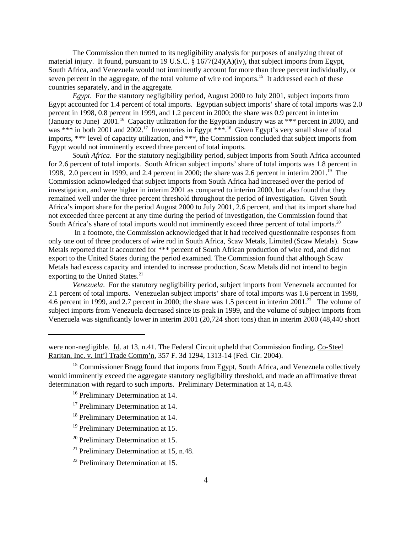The Commission then turned to its negligibility analysis for purposes of analyzing threat of material injury. It found, pursuant to 19 U.S.C.  $\S$  1677(24)(A)(iv), that subject imports from Egypt, South Africa, and Venezuela would not imminently account for more than three percent individually, or seven percent in the aggregate, of the total volume of wire rod imports.<sup>15</sup> It addressed each of these countries separately, and in the aggregate.

*Egypt*. For the statutory negligibility period, August 2000 to July 2001, subject imports from Egypt accounted for 1.4 percent of total imports. Egyptian subject imports' share of total imports was 2.0 percent in 1998, 0.8 percent in 1999, and 1.2 percent in 2000; the share was 0.9 percent in interim (January to June)  $2001$ .<sup>16</sup> Capacity utilization for the Egyptian industry was at \*\*\* percent in 2000, and was \*\*\* in both 2001 and 2002.<sup>17</sup> Inventories in Egypt \*\*\*.<sup>18</sup> Given Egypt's very small share of total imports, \*\*\* level of capacity utilization, and \*\*\*, the Commission concluded that subject imports from Egypt would not imminently exceed three percent of total imports.

*South Africa*. For the statutory negligibility period, subject imports from South Africa accounted for 2.6 percent of total imports. South African subject imports' share of total imports was 1.8 percent in 1998, 2.0 percent in 1999, and 2.4 percent in 2000; the share was 2.6 percent in interim 2001.19 The Commission acknowledged that subject imports from South Africa had increased over the period of investigation, and were higher in interim 2001 as compared to interim 2000, but also found that they remained well under the three percent threshold throughout the period of investigation. Given South Africa's import share for the period August 2000 to July 2001, 2.6 percent, and that its import share had not exceeded three percent at any time during the period of investigation, the Commission found that South Africa's share of total imports would not imminently exceed three percent of total imports.<sup>20</sup>

 In a footnote, the Commission acknowledged that it had received questionnaire responses from only one out of three producers of wire rod in South Africa, Scaw Metals, Limited (Scaw Metals). Scaw Metals reported that it accounted for \*\*\* percent of South African production of wire rod, and did not export to the United States during the period examined. The Commission found that although Scaw Metals had excess capacity and intended to increase production, Scaw Metals did not intend to begin exporting to the United States.<sup>21</sup>

 *Venezuela*. For the statutory negligibility period, subject imports from Venezuela accounted for 2.1 percent of total imports. Venezuelan subject imports' share of total imports was 1.6 percent in 1998, 4.6 percent in 1999, and 2.7 percent in 2000; the share was 1.5 percent in interim 2001.<sup>22</sup> The volume of subject imports from Venezuela decreased since its peak in 1999, and the volume of subject imports from Venezuela was significantly lower in interim 2001 (20,724 short tons) than in interim 2000 (48,440 short

- <sup>18</sup> Preliminary Determination at 14.
- <sup>19</sup> Preliminary Determination at 15.
- <sup>20</sup> Preliminary Determination at 15.
- <sup>21</sup> Preliminary Determination at 15, n.48.

were non-negligible. Id. at 13, n.41. The Federal Circuit upheld that Commission finding. Co-Steel Raritan, Inc. v. Int'l Trade Comm'n, 357 F. 3d 1294, 1313-14 (Fed. Cir. 2004).

 $15$  Commissioner Bragg found that imports from Egypt, South Africa, and Venezuela collectively would imminently exceed the aggregate statutory negligibility threshold, and made an affirmative threat determination with regard to such imports. Preliminary Determination at 14, n.43.

<sup>&</sup>lt;sup>16</sup> Preliminary Determination at 14.

<sup>&</sup>lt;sup>17</sup> Preliminary Determination at 14.

<sup>&</sup>lt;sup>22</sup> Preliminary Determination at 15.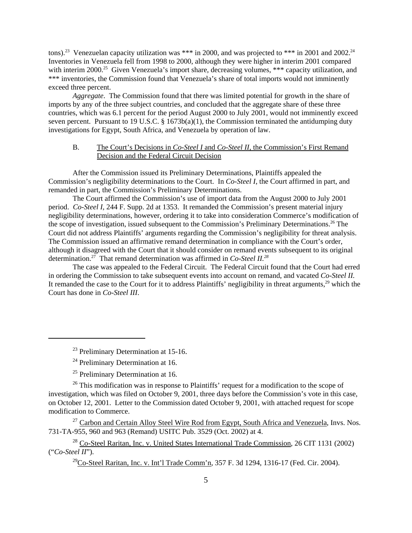tons).<sup>23</sup> Venezuelan capacity utilization was \*\*\* in 2000, and was projected to \*\*\* in 2001 and 2002.<sup>24</sup> Inventories in Venezuela fell from 1998 to 2000, although they were higher in interim 2001 compared with interim 2000.<sup>25</sup> Given Venezuela's import share, decreasing volumes, \*\*\* capacity utilization, and \*\*\* inventories, the Commission found that Venezuela's share of total imports would not imminently exceed three percent.

*Aggregate*. The Commission found that there was limited potential for growth in the share of imports by any of the three subject countries, and concluded that the aggregate share of these three countries, which was 6.1 percent for the period August 2000 to July 2001, would not imminently exceed seven percent. Pursuant to 19 U.S.C.  $\S$  1673b(a)(1), the Commission terminated the antidumping duty investigations for Egypt, South Africa, and Venezuela by operation of law.

# B. The Court's Decisions in *Co-Steel I* and *Co-Steel II*, the Commission's First Remand Decision and the Federal Circuit Decision

After the Commission issued its Preliminary Determinations, Plaintiffs appealed the Commission's negligibility determinations to the Court. In *Co-Steel I*, the Court affirmed in part, and remanded in part, the Commission's Preliminary Determinations.

The Court affirmed the Commission's use of import data from the August 2000 to July 2001 period. *Co-Steel I,* 244 F. Supp. 2d at 1353. It remanded the Commission's present material injury negligibility determinations, however, ordering it to take into consideration Commerce's modification of the scope of investigation, issued subsequent to the Commission's Preliminary Determinations.<sup>26</sup> The Court did not address Plaintiffs' arguments regarding the Commission's negligibility for threat analysis. The Commission issued an affirmative remand determination in compliance with the Court's order, although it disagreed with the Court that it should consider on remand events subsequent to its original determination.27 That remand determination was affirmed in *Co-Steel II.28*

The case was appealed to the Federal Circuit. The Federal Circuit found that the Court had erred in ordering the Commission to take subsequent events into account on remand, and vacated *Co-Steel II.*  It remanded the case to the Court for it to address Plaintiffs' negligibility in threat arguments,<sup>29</sup> which the Court has done in *Co-Steel III*.

 $27$  Carbon and Certain Alloy Steel Wire Rod from Egypt, South Africa and Venezuela, Invs. Nos. 731-TA-955, 960 and 963 (Remand) USITC Pub. 3529 (Oct. 2002) at 4.

 $28$  Co-Steel Raritan, Inc. v. United States International Trade Commission, 26 CIT 1131 (2002) ("*Co-Steel II*").

 $^{29}$ Co-Steel Raritan, Inc. v. Int'l Trade Comm'n, 357 F. 3d 1294, 1316-17 (Fed. Cir. 2004).

<sup>&</sup>lt;sup>23</sup> Preliminary Determination at 15-16.<br><sup>24</sup> Preliminary Determination at 16.

<sup>&</sup>lt;sup>25</sup> Preliminary Determination at 16.

 $26$  This modification was in response to Plaintiffs' request for a modification to the scope of investigation, which was filed on October 9, 2001, three days before the Commission's vote in this case, on October 12, 2001. Letter to the Commission dated October 9, 2001, with attached request for scope modification to Commerce.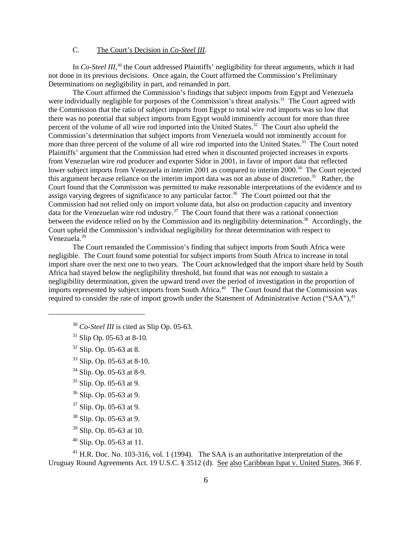# C. The Court's Decision in *Co-Steel III*.

In *Co-Steel III*,<sup>30</sup> the Court addressed Plaintiffs' negligibility for threat arguments, which it had not done in its previous decisions. Once again, the Court affirmed the Commission's Preliminary Determinations on negligibility in part, and remanded in part.

The Court affirmed the Commission's findings that subject imports from Egypt and Venezuela were individually negligible for purposes of the Commission's threat analysis.<sup>31</sup> The Court agreed with the Commission that the ratio of subject imports from Egypt to total wire rod imports was so low that there was no potential that subject imports from Egypt would imminently account for more than three percent of the volume of all wire rod imported into the United States.<sup>32</sup> The Court also upheld the Commission's determination that subject imports from Venezuela would not imminently account for more than three percent of the volume of all wire rod imported into the United States.<sup>33</sup> The Court noted Plaintiffs' argument that the Commission had erred when it discounted projected increases in exports from Venezuelan wire rod producer and exporter Sidor in 2001, in favor of import data that reflected lower subject imports from Venezuela in interim 2001 as compared to interim 2000.34The Court rejected this argument because reliance on the interim import data was not an abuse of discretion.35 Rather, the Court found that the Commission was permitted to make reasonable interpretations of the evidence and to assign varying degrees of significance to any particular factor.<sup>36</sup> The Court pointed out that the Commission had not relied only on import volume data, but also on production capacity and inventory data for the Venezuelan wire rod industry.<sup>37</sup> The Court found that there was a rational connection between the evidence relied on by the Commission and its negligibility determination.<sup>38</sup> Accordingly, the Court upheld the Commission's individual negligibility for threat determination with respect to Venezuela.39

The Court remanded the Commission's finding that subject imports from South Africa were negligible. The Court found some potential for subject imports from South Africa to increase in total import share over the next one to two years. The Court acknowledged that the import share held by South Africa had stayed below the negligibility threshold, but found that was not enough to sustain a negligibility determination, given the upward trend over the period of investigation in the proportion of imports represented by subject imports from South Africa.<sup>40</sup> The Court found that the Commission was required to consider the rate of import growth under the Statement of Administrative Action ("SAA"),<sup>41</sup>

- <sup>30</sup> *Co-Steel III* is cited as Slip Op. 05-63.
- $31$  Slip Op. 05-63 at 8-10.
- <sup>32</sup> Slip. Op. 05-63 at 8.
- <sup>33</sup> Slip. Op. 05-63 at 8-10.
- 34 Slip. Op. 05-63 at 8-9.
- $35$  Slip. Op. 05-63 at 9.
- <sup>36</sup> Slip. Op. 05-63 at 9.
- $37$  Slip. Op. 05-63 at 9.
- <sup>38</sup> Slip. Op. 05-63 at 9.
- <sup>39</sup> Slip. Op. 05-63 at 10.
- $40$  Slip. Op. 05-63 at 11.

<sup>41</sup> H.R. Doc. No. 103-316, vol. 1 (1994). The SAA is an authoritative interpretation of the Uruguay Round Agreements Act. 19 U.S.C. § 3512 (d). See also Caribbean Ispat v. United States, 366 F.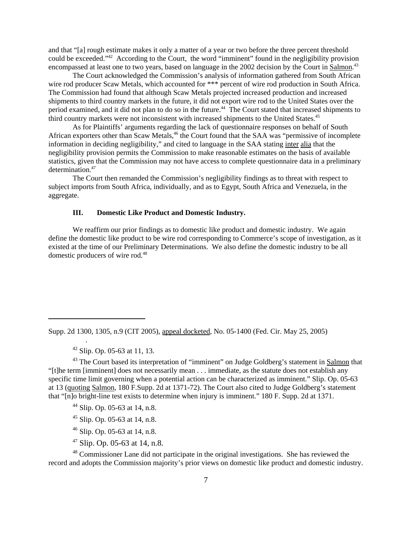and that "[a] rough estimate makes it only a matter of a year or two before the three percent threshold could be exceeded."42 According to the Court, the word "imminent" found in the negligibility provision encompassed at least one to two years, based on language in the 2002 decision by the Court in Salmon.<sup>43</sup>

The Court acknowledged the Commission's analysis of information gathered from South African wire rod producer Scaw Metals, which accounted for \*\*\* percent of wire rod production in South Africa. The Commission had found that although Scaw Metals projected increased production and increased shipments to third country markets in the future, it did not export wire rod to the United States over the period examined, and it did not plan to do so in the future.<sup>44</sup> The Court stated that increased shipments to third country markets were not inconsistent with increased shipments to the United States.<sup>45</sup>

As for Plaintiffs' arguments regarding the lack of questionnaire responses on behalf of South African exporters other than Scaw Metals,<sup>46</sup> the Court found that the SAA was "permissive of incomplete information in deciding negligibility," and cited to language in the SAA stating inter alia that the negligibility provision permits the Commission to make reasonable estimates on the basis of available statistics, given that the Commission may not have access to complete questionnaire data in a preliminary determination.<sup>47</sup>

The Court then remanded the Commission's negligibility findings as to threat with respect to subject imports from South Africa, individually, and as to Egypt, South Africa and Venezuela, in the aggregate.

# **III. Domestic Like Product and Domestic Industry.**

We reaffirm our prior findings as to domestic like product and domestic industry. We again define the domestic like product to be wire rod corresponding to Commerce's scope of investigation, as it existed at the time of our Preliminary Determinations. We also define the domestic industry to be all domestic producers of wire rod.<sup>48</sup>

 $42$  Slip. Op. 05-63 at 11, 13.

.

<sup>43</sup> The Court based its interpretation of "imminent" on Judge Goldberg's statement in Salmon that "[t]he term [imminent] does not necessarily mean . . . immediate, as the statute does not establish any specific time limit governing when a potential action can be characterized as imminent." Slip. Op. 05-63 at 13 (quoting Salmon, 180 F.Supp. 2d at 1371-72). The Court also cited to Judge Goldberg's statement that "[n]o bright-line test exists to determine when injury is imminent." 180 F. Supp. 2d at 1371.

- $44$  Slip. Op. 05-63 at 14, n.8.
- <sup>45</sup> Slip. Op. 05-63 at 14, n.8.
- <sup>46</sup> Slip. Op. 05-63 at 14, n.8.
- $47$  Slip. Op. 05-63 at 14, n.8.

<sup>48</sup> Commissioner Lane did not participate in the original investigations. She has reviewed the record and adopts the Commission majority's prior views on domestic like product and domestic industry.

Supp. 2d 1300, 1305, n.9 (CIT 2005), appeal docketed, No. 05-1400 (Fed. Cir. May 25, 2005)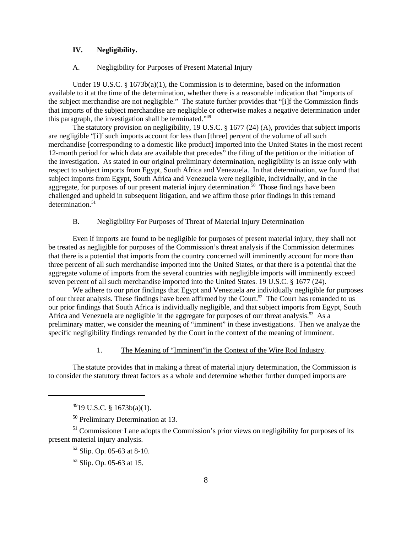# **IV. Negligibility.**

#### A. Negligibility for Purposes of Present Material Injury

Under 19 U.S.C. § 1673b(a)(1), the Commission is to determine, based on the information available to it at the time of the determination, whether there is a reasonable indication that "imports of the subject merchandise are not negligible." The statute further provides that "[i]f the Commission finds that imports of the subject merchandise are negligible or otherwise makes a negative determination under this paragraph, the investigation shall be terminated."49

The statutory provision on negligibility, 19 U.S.C. § 1677 (24) (A), provides that subject imports are negligible "[i]f such imports account for less than [three] percent of the volume of all such merchandise [corresponding to a domestic like product] imported into the United States in the most recent 12-month period for which data are available that precedes" the filing of the petition or the initiation of the investigation. As stated in our original preliminary determination, negligibility is an issue only with respect to subject imports from Egypt, South Africa and Venezuela. In that determination, we found that subject imports from Egypt, South Africa and Venezuela were negligible, individually, and in the aggregate, for purposes of our present material injury determination.<sup>50</sup> Those findings have been challenged and upheld in subsequent litigation, and we affirm those prior findings in this remand  $determination.<sup>51</sup>$ 

### B. Negligibility For Purposes of Threat of Material Injury Determination

Even if imports are found to be negligible for purposes of present material injury, they shall not be treated as negligible for purposes of the Commission's threat analysis if the Commission determines that there is a potential that imports from the country concerned will imminently account for more than three percent of all such merchandise imported into the United States, or that there is a potential that the aggregate volume of imports from the several countries with negligible imports will imminently exceed seven percent of all such merchandise imported into the United States. 19 U.S.C. § 1677 (24).

We adhere to our prior findings that Egypt and Venezuela are individually negligible for purposes of our threat analysis. These findings have been affirmed by the Court.<sup>52</sup> The Court has remanded to us our prior findings that South Africa is individually negligible, and that subject imports from Egypt, South Africa and Venezuela are negligible in the aggregate for purposes of our threat analysis.<sup>53</sup> As a preliminary matter, we consider the meaning of "imminent" in these investigations. Then we analyze the specific negligibility findings remanded by the Court in the context of the meaning of imminent.

### 1. The Meaning of "Imminent"in the Context of the Wire Rod Industry.

The statute provides that in making a threat of material injury determination, the Commission is to consider the statutory threat factors as a whole and determine whether further dumped imports are

 $^{49}$ 19 U.S.C. § 1673b(a)(1).

<sup>50</sup> Preliminary Determination at 13.

 $<sup>51</sup>$  Commissioner Lane adopts the Commission's prior views on negligibility for purposes of its</sup> present material injury analysis.

 $52$  Slip. Op. 05-63 at 8-10.

<sup>53</sup> Slip. Op. 05-63 at 15.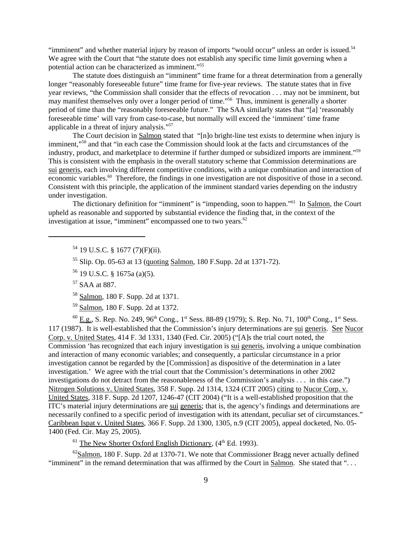"imminent" and whether material injury by reason of imports "would occur" unless an order is issued.<sup>54</sup> We agree with the Court that "the statute does not establish any specific time limit governing when a potential action can be characterized as imminent."55

The statute does distinguish an "imminent" time frame for a threat determination from a generally longer "reasonably foreseeable future" time frame for five-year reviews. The statute states that in five year reviews, "the Commission shall consider that the effects of revocation . . . may not be imminent, but may manifest themselves only over a longer period of time."<sup>56</sup> Thus, imminent is generally a shorter period of time than the "reasonably foreseeable future." The SAA similarly states that "[a] 'reasonably foreseeable time' will vary from case-to-case, but normally will exceed the 'imminent' time frame applicable in a threat of injury analysis."57

The Court decision in Salmon stated that "[n]o bright-line test exists to determine when injury is imminent,"58 and that "in each case the Commission should look at the facts and circumstances of the industry, product, and marketplace to determine if further dumped or subsidized imports are imminent."59 This is consistent with the emphasis in the overall statutory scheme that Commission determinations are sui generis, each involving different competitive conditions, with a unique combination and interaction of economic variables.<sup>60</sup> Therefore, the findings in one investigation are not dispositive of those in a second. Consistent with this principle, the application of the imminent standard varies depending on the industry under investigation.

The dictionary definition for "imminent" is "impending, soon to happen."61 In Salmon, the Court upheld as reasonable and supported by substantial evidence the finding that, in the context of the investigation at issue, "imminent" encompassed one to two years. $62$ 

<sup>54</sup> 19 U.S.C. § 1677 (7)(F)(ii).

<sup>55</sup> Slip. Op. 05-63 at 13 (quoting Salmon, 180 F.Supp. 2d at 1371-72).

57 SAA at 887.

<sup>58</sup> Salmon, 180 F. Supp. 2d at 1371.

59 Salmon, 180 F. Supp. 2d at 1372.

 $^{60}$  E.g., S. Rep. No. 249, 96<sup>th</sup> Cong., 1<sup>st</sup> Sess. 88-89 (1979); S. Rep. No. 71, 100<sup>th</sup> Cong., 1<sup>st</sup> Sess. 117 (1987). It is well-established that the Commission's injury determinations are sui generis. See Nucor Corp. v. United States, 414 F. 3d 1331, 1340 (Fed. Cir. 2005) ("[A]s the trial court noted, the Commission 'has recognized that each injury investigation is sui generis, involving a unique combination and interaction of many economic variables; and consequently, a particular circumstance in a prior investigation cannot be regarded by the [Commission] as dispositive of the determination in a later investigation.' We agree with the trial court that the Commission's determinations in other 2002 investigations do not detract from the reasonableness of the Commission's analysis . . . in this case.") Nitrogen Solutions v. United States, 358 F. Supp. 2d 1314, 1324 (CIT 2005) citing to Nucor Corp. v. United States, 318 F. Supp. 2d 1207, 1246-47 (CIT 2004) ("It is a well-established proposition that the ITC's material injury determinations are sui generis; that is, the agency's findings and determinations are necessarily confined to a specific period of investigation with its attendant, peculiar set of circumstances." Caribbean Ispat v. United States, 366 F. Supp. 2d 1300, 1305, n.9 (CIT 2005), appeal docketed, No. 05- 1400 (Fed. Cir. May 25, 2005).

 $<sup>61</sup>$  The New Shorter Oxford English Dictionary, ( $4<sup>th</sup>$  Ed. 1993).</sup>

 $62$ Salmon, 180 F. Supp. 2d at 1370-71. We note that Commissioner Bragg never actually defined "imminent" in the remand determination that was affirmed by the Court in Salmon. She stated that "...

<sup>56</sup> 19 U.S.C. § 1675a (a)(5).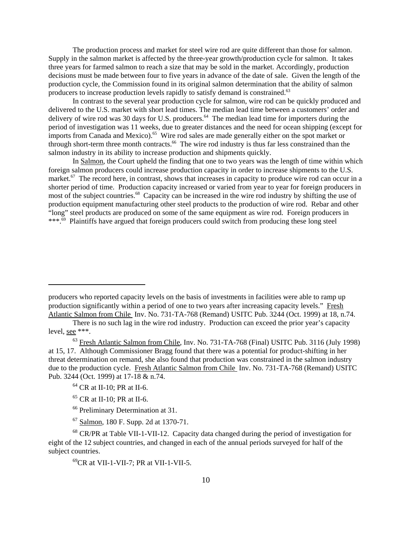The production process and market for steel wire rod are quite different than those for salmon. Supply in the salmon market is affected by the three-year growth/production cycle for salmon. It takes three years for farmed salmon to reach a size that may be sold in the market. Accordingly, production decisions must be made between four to five years in advance of the date of sale. Given the length of the production cycle, the Commission found in its original salmon determination that the ability of salmon producers to increase production levels rapidly to satisfy demand is constrained.<sup>63</sup>

In contrast to the several year production cycle for salmon, wire rod can be quickly produced and delivered to the U.S. market with short lead times. The median lead time between a customers' order and delivery of wire rod was 30 days for U.S. producers.<sup>64</sup> The median lead time for importers during the period of investigation was 11 weeks, due to greater distances and the need for ocean shipping (except for imports from Canada and Mexico).<sup>65</sup> Wire rod sales are made generally either on the spot market or through short-term three month contracts.<sup>66</sup> The wire rod industry is thus far less constrained than the salmon industry in its ability to increase production and shipments quickly.

In Salmon, the Court upheld the finding that one to two years was the length of time within which foreign salmon producers could increase production capacity in order to increase shipments to the U.S. market.<sup>67</sup> The record here, in contrast, shows that increases in capacity to produce wire rod can occur in a shorter period of time. Production capacity increased or varied from year to year for foreign producers in most of the subject countries.<sup>68</sup> Capacity can be increased in the wire rod industry by shifting the use of production equipment manufacturing other steel products to the production of wire rod. Rebar and other "long" steel products are produced on some of the same equipment as wire rod. Foreign producers in \*\*\*.<sup>69</sup> Plaintiffs have argued that foreign producers could switch from producing these long steel

producers who reported capacity levels on the basis of investments in facilities were able to ramp up production significantly within a period of one to two years after increasing capacity levels." Fresh Atlantic Salmon from Chile Inv. No. 731-TA-768 (Remand) USITC Pub. 3244 (Oct. 1999) at 18, n.74.

There is no such lag in the wire rod industry. Production can exceed the prior year's capacity level, see \*\*\*.

 $<sup>63</sup>$  Fresh Atlantic Salmon from Chile, Inv. No. 731-TA-768 (Final) USITC Pub. 3116 (July 1998)</sup> at 15, 17. Although Commissioner Bragg found that there was a potential for product-shifting in her threat determination on remand, she also found that production was constrained in the salmon industry due to the production cycle. Fresh Atlantic Salmon from Chile Inv. No. 731-TA-768 (Remand) USITC Pub. 3244 (Oct. 1999) at 17-18 & n.74.

<sup>64</sup> CR at II-10; PR at II-6.

<sup>65</sup> CR at II-10; PR at II-6.

<sup>&</sup>lt;sup>66</sup> Preliminary Determination at 31.

<sup>67</sup> Salmon, 180 F. Supp. 2d at 1370-71.

<sup>68</sup> CR/PR at Table VII-1-VII-12. Capacity data changed during the period of investigation for eight of the 12 subject countries, and changed in each of the annual periods surveyed for half of the subject countries.

<sup>69</sup>CR at VII-1-VII-7; PR at VII-1-VII-5.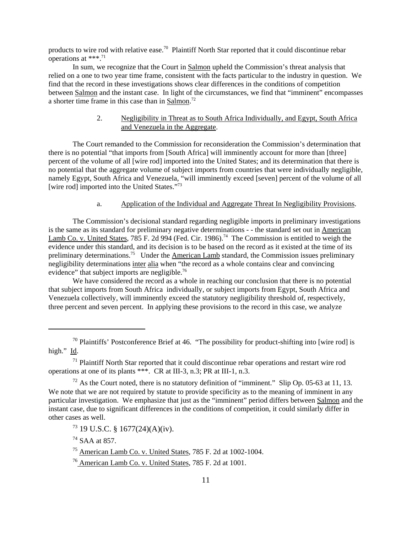products to wire rod with relative ease.70 Plaintiff North Star reported that it could discontinue rebar operations at \*\*\*.71

In sum, we recognize that the Court in Salmon upheld the Commission's threat analysis that relied on a one to two year time frame, consistent with the facts particular to the industry in question. We find that the record in these investigations shows clear differences in the conditions of competition between Salmon and the instant case. In light of the circumstances, we find that "imminent" encompasses a shorter time frame in this case than in Salmon.<sup>72</sup>

# 2. Negligibility in Threat as to South Africa Individually, and Egypt, South Africa and Venezuela in the Aggregate.

The Court remanded to the Commission for reconsideration the Commission's determination that there is no potential "that imports from [South Africa] will imminently account for more than [three] percent of the volume of all [wire rod] imported into the United States; and its determination that there is no potential that the aggregate volume of subject imports from countries that were individually negligible, namely Egypt, South Africa and Venezuela, "will imminently exceed [seven] percent of the volume of all [wire rod] imported into the United States."73

# a. Application of the Individual and Aggregate Threat In Negligibility Provisions.

The Commission's decisional standard regarding negligible imports in preliminary investigations is the same as its standard for preliminary negative determinations - - the standard set out in American Lamb Co. v. United States, 785 F. 2d 994 (Fed. Cir. 1986).<sup>74</sup> The Commission is entitled to weigh the evidence under this standard, and its decision is to be based on the record as it existed at the time of its preliminary determinations.<sup>75</sup> Under the American Lamb standard, the Commission issues preliminary negligibility determinations inter alia when "the record as a whole contains clear and convincing evidence" that subject imports are negligible.<sup>76</sup>

We have considered the record as a whole in reaching our conclusion that there is no potential that subject imports from South Africa individually, or subject imports from Egypt, South Africa and Venezuela collectively, will imminently exceed the statutory negligibility threshold of, respectively, three percent and seven percent. In applying these provisions to the record in this case, we analyze

<sup>74</sup> SAA at 857.

 $70$  Plaintiffs' Postconference Brief at 46. "The possibility for product-shifting into [wire rod] is high." Id.

 $<sup>71</sup>$  Plaintiff North Star reported that it could discontinue rebar operations and restart wire rod</sup> operations at one of its plants \*\*\*. CR at III-3, n.3; PR at III-1, n.3.

 $72$  As the Court noted, there is no statutory definition of "imminent." Slip Op. 05-63 at 11, 13. We note that we are not required by statute to provide specificity as to the meaning of imminent in any particular investigation. We emphasize that just as the "imminent" period differs between Salmon and the instant case, due to significant differences in the conditions of competition, it could similarly differ in other cases as well.

<sup>73 19</sup> U.S.C. § 1677(24)(A)(iv).

<sup>75</sup> American Lamb Co. v. United States, 785 F. 2d at 1002-1004.

<sup>76</sup> American Lamb Co. v. United States, 785 F. 2d at 1001.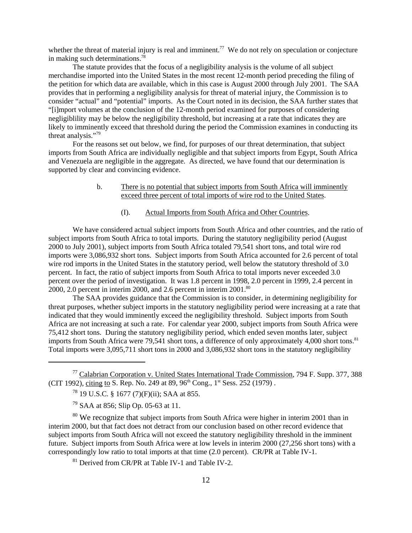whether the threat of material injury is real and imminent.<sup>77</sup> We do not rely on speculation or conjecture in making such determinations.78

The statute provides that the focus of a negligibility analysis is the volume of all subject merchandise imported into the United States in the most recent 12-month period preceding the filing of the petition for which data are available, which in this case is August 2000 through July 2001. The SAA provides that in performing a negligibility analysis for threat of material injury, the Commission is to consider "actual" and "potential" imports. As the Court noted in its decision, the SAA further states that "[i]mport volumes at the conclusion of the 12-month period examined for purposes of considering negligiblility may be below the negligibility threshold, but increasing at a rate that indicates they are likely to imminently exceed that threshold during the period the Commission examines in conducting its threat analysis."79

For the reasons set out below, we find, for purposes of our threat determination, that subject imports from South Africa are individually negligible and that subject imports from Egypt, South Africa and Venezuela are negligible in the aggregate. As directed, we have found that our determination is supported by clear and convincing evidence.

# b. There is no potential that subject imports from South Africa will imminently exceed three percent of total imports of wire rod to the United States.

# (I). Actual Imports from South Africa and Other Countries.

We have considered actual subject imports from South Africa and other countries, and the ratio of subject imports from South Africa to total imports. During the statutory negligibility period (August 2000 to July 2001), subject imports from South Africa totaled 79,541 short tons, and total wire rod imports were 3,086,932 short tons. Subject imports from South Africa accounted for 2.6 percent of total wire rod imports in the United States in the statutory period, well below the statutory threshold of 3.0 percent. In fact, the ratio of subject imports from South Africa to total imports never exceeded 3.0 percent over the period of investigation. It was 1.8 percent in 1998, 2.0 percent in 1999, 2.4 percent in 2000, 2.0 percent in interim 2000, and 2.6 percent in interim  $2001$ .<sup>80</sup>

The SAA provides guidance that the Commission is to consider, in determining negligibility for threat purposes, whether subject imports in the statutory negligibility period were increasing at a rate that indicated that they would imminently exceed the negligibility threshold. Subject imports from South Africa are not increasing at such a rate. For calendar year 2000, subject imports from South Africa were 75,412 short tons. During the statutory negligibility period, which ended seven months later, subject imports from South Africa were 79,541 short tons, a difference of only approximately 4,000 short tons.<sup>81</sup> Total imports were 3,095,711 short tons in 2000 and 3,086,932 short tons in the statutory negligibility

<sup>80</sup> We recognize that subject imports from South Africa were higher in interim 2001 than in interim 2000, but that fact does not detract from our conclusion based on other record evidence that subject imports from South Africa will not exceed the statutory negligibility threshold in the imminent future. Subject imports from South Africa were at low levels in interim 2000 (27,256 short tons) with a correspondingly low ratio to total imports at that time (2.0 percent). CR/PR at Table IV-1.

 $81$  Derived from CR/PR at Table IV-1 and Table IV-2.

 $77$  Calabrian Corporation v. United States International Trade Commission, 794 F. Supp. 377, 388 (CIT 1992), citing to S. Rep. No. 249 at 89, 96<sup>th</sup> Cong., 1<sup>st</sup> Sess. 252 (1979).

<sup>78 19</sup> U.S.C. § 1677 (7)(F)(ii); SAA at 855.

<sup>79</sup> SAA at 856; Slip Op. 05-63 at 11.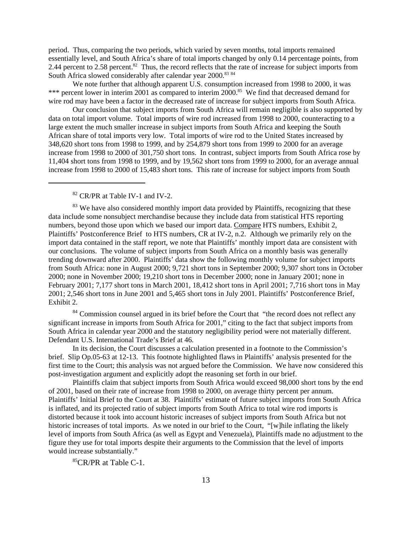period. Thus, comparing the two periods, which varied by seven months, total imports remained essentially level, and South Africa's share of total imports changed by only 0.14 percentage points, from 2.44 percent to 2.58 percent.<sup>82</sup> Thus, the record reflects that the rate of increase for subject imports from South Africa slowed considerably after calendar year 2000.<sup>83 84</sup>

We note further that although apparent U.S. consumption increased from 1998 to 2000, it was \*\*\* percent lower in interim 2001 as compared to interim 2000.<sup>85</sup> We find that decreased demand for wire rod may have been a factor in the decreased rate of increase for subject imports from South Africa.

Our conclusion that subject imports from South Africa will remain negligible is also supported by data on total import volume. Total imports of wire rod increased from 1998 to 2000, counteracting to a large extent the much smaller increase in subject imports from South Africa and keeping the South African share of total imports very low. Total imports of wire rod to the United States increased by 348,620 short tons from 1998 to 1999, and by 254,879 short tons from 1999 to 2000 for an average increase from 1998 to 2000 of 301,750 short tons. In contrast, subject imports from South Africa rose by 11,404 short tons from 1998 to 1999, and by 19,562 short tons from 1999 to 2000, for an average annual increase from 1998 to 2000 of 15,483 short tons. This rate of increase for subject imports from South

<sup>82</sup> CR/PR at Table IV-1 and IV-2.

<sup>83</sup> We have also considered monthly import data provided by Plaintiffs, recognizing that these data include some nonsubject merchandise because they include data from statistical HTS reporting numbers, beyond those upon which we based our import data. Compare HTS numbers, Exhibit 2, Plaintiffs' Postconference Brief to HTS numbers, CR at IV-2, n.2. Although we primarily rely on the import data contained in the staff report, we note that Plaintiffs' monthly import data are consistent with our conclusions. The volume of subject imports from South Africa on a monthly basis was generally trending downward after 2000. Plaintiffs' data show the following monthly volume for subject imports from South Africa: none in August 2000; 9,721 short tons in September 2000; 9,307 short tons in October 2000; none in November 2000; 19,210 short tons in December 2000; none in January 2001; none in February 2001; 7,177 short tons in March 2001, 18,412 short tons in April 2001; 7,716 short tons in May 2001; 2,546 short tons in June 2001 and 5,465 short tons in July 2001. Plaintiffs' Postconference Brief, Exhibit 2.

<sup>84</sup> Commission counsel argued in its brief before the Court that "the record does not reflect any significant increase in imports from South Africa for 2001," citing to the fact that subject imports from South Africa in calendar year 2000 and the statutory negligibility period were not materially different. Defendant U.S. International Trade's Brief at 46.

In its decision, the Court discusses a calculation presented in a footnote to the Commission's brief. Slip Op.05-63 at 12-13. This footnote highlighted flaws in Plaintiffs' analysis presented for the first time to the Court; this analysis was not argued before the Commission. We have now considered this post-investigation argument and explicitly adopt the reasoning set forth in our brief.

Plaintiffs claim that subject imports from South Africa would exceed 98,000 short tons by the end of 2001, based on their rate of increase from 1998 to 2000, on average thirty percent per annum. Plaintiffs' Initial Brief to the Court at 38. Plaintiffs' estimate of future subject imports from South Africa is inflated, and its projected ratio of subject imports from South Africa to total wire rod imports is distorted because it took into account historic increases of subject imports from South Africa but not historic increases of total imports. As we noted in our brief to the Court, "[w]hile inflating the likely level of imports from South Africa (as well as Egypt and Venezuela), Plaintiffs made no adjustment to the figure they use for total imports despite their arguments to the Commission that the level of imports would increase substantially."

85CR/PR at Table C-1.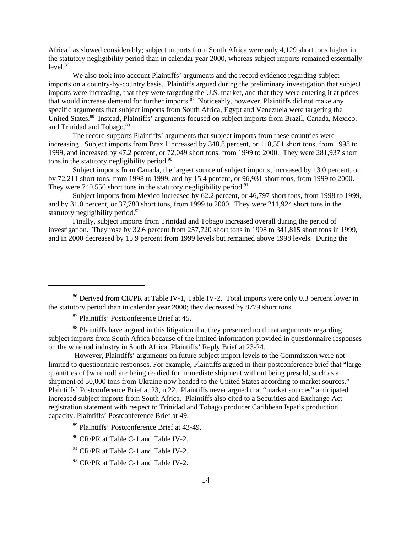Africa has slowed considerably; subject imports from South Africa were only 4,129 short tons higher in the statutory negligibility period than in calendar year 2000, whereas subject imports remained essentially level.<sup>86</sup>

 We also took into account Plaintiffs' arguments and the record evidence regarding subject imports on a country-by-country basis. Plaintiffs argued during the preliminary investigation that subject imports were increasing, that they were targeting the U.S. market, and that they were entering it at prices that would increase demand for further imports.<sup>87</sup> Noticeably, however, Plaintiffs did not make any specific arguments that subject imports from South Africa, Egypt and Venezuela were targeting the United States.<sup>88</sup> Instead, Plaintiffs' arguments focused on subject imports from Brazil, Canada, Mexico, and Trinidad and Tobago.89

The record supports Plaintiffs' arguments that subject imports from these countries were increasing. Subject imports from Brazil increased by 348.8 percent, or 118,551 short tons, from 1998 to 1999, and increased by 47.2 percent, or 72,049 short tons, from 1999 to 2000. They were 281,937 short tons in the statutory negligibility period. $90$ 

Subject imports from Canada, the largest source of subject imports, increased by 13.0 percent, or by 72,211 short tons, from 1998 to 1999, and by 15.4 percent, or 96,931 short tons, from 1999 to 2000. They were  $740,556$  short tons in the statutory negligibility period.<sup>91</sup>

Subject imports from Mexico increased by 62.2 percent, or 46,797 short tons, from 1998 to 1999, and by 31.0 percent, or 37,780 short tons, from 1999 to 2000. They were 211,924 short tons in the statutory negligibility period. $92$ 

Finally, subject imports from Trinidad and Tobago increased overall during the period of investigation. They rose by 32.6 percent from 257,720 short tons in 1998 to 341,815 short tons in 1999, and in 2000 decreased by 15.9 percent from 1999 levels but remained above 1998 levels. During the

87 Plaintiffs' Postconference Brief at 45.

<sup>86</sup> Derived from CR/PR at Table IV-1, Table IV-2**.** Total imports were only 0.3 percent lower in the statutory period than in calendar year 2000; they decreased by 8779 short tons.

<sup>&</sup>lt;sup>88</sup> Plaintiffs have argued in this litigation that they presented no threat arguments regarding subject imports from South Africa because of the limited information provided in questionnaire responses on the wire rod industry in South Africa. Plaintiffs' Reply Brief at 23-24.

However, Plaintiffs' arguments on future subject import levels to the Commission were not limited to questionnaire responses. For example, Plaintiffs argued in their postconference brief that "large quantities of [wire rod] are being readied for immediate shipment without being presold, such as a shipment of 50,000 tons from Ukraine now headed to the United States according to market sources." Plaintiffs' Postconference Brief at 23, n.22. Plaintiffs never argued that "market sources" anticipated increased subject imports from South Africa. Plaintiffs also cited to a Securities and Exchange Act registration statement with respect to Trinidad and Tobago producer Caribbean Ispat's production capacity. Plaintiffs' Postconference Brief at 49.

<sup>89</sup> Plaintiffs' Postconference Brief at 43-49.

<sup>90</sup> CR/PR at Table C-1 and Table IV-2.

<sup>&</sup>lt;sup>91</sup> CR/PR at Table C-1 and Table IV-2.

<sup>&</sup>lt;sup>92</sup> CR/PR at Table C-1 and Table IV-2.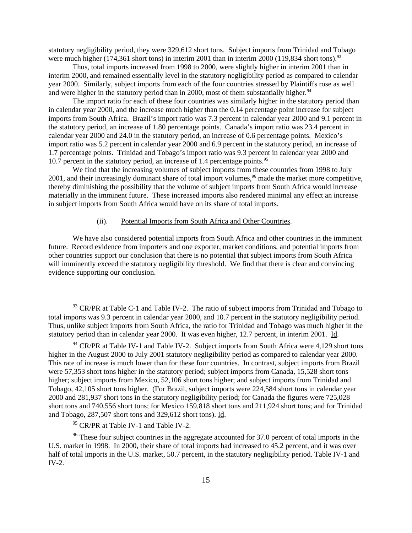statutory negligibility period, they were 329,612 short tons. Subject imports from Trinidad and Tobago were much higher (174,361 short tons) in interim 2001 than in interim 2000 (119,834 short tons).<sup>93</sup>

Thus, total imports increased from 1998 to 2000, were slightly higher in interim 2001 than in interim 2000, and remained essentially level in the statutory negligibility period as compared to calendar year 2000. Similarly, subject imports from each of the four countries stressed by Plaintiffs rose as well and were higher in the statutory period than in 2000, most of them substantially higher.<sup>94</sup>

The import ratio for each of these four countries was similarly higher in the statutory period than in calendar year 2000, and the increase much higher than the 0.14 percentage point increase for subject imports from South Africa. Brazil's import ratio was 7.3 percent in calendar year 2000 and 9.1 percent in the statutory period, an increase of 1.80 percentage points. Canada's import ratio was 23.4 percent in calendar year 2000 and 24.0 in the statutory period, an increase of 0.6 percentage points. Mexico's import ratio was 5.2 percent in calendar year 2000 and 6.9 percent in the statutory period, an increase of 1.7 percentage points. Trinidad and Tobago's import ratio was 9.3 percent in calendar year 2000 and 10.7 percent in the statutory period, an increase of 1.4 percentage points.95

We find that the increasing volumes of subject imports from these countries from 1998 to July 2001, and their increasingly dominant share of total import volumes,<sup>96</sup> made the market more competitive, thereby diminishing the possibility that the volume of subject imports from South Africa would increase materially in the imminent future. These increased imports also rendered minimal any effect an increase in subject imports from South Africa would have on its share of total imports.

#### (ii). Potential Imports from South Africa and Other Countries.

We have also considered potential imports from South Africa and other countries in the imminent future. Record evidence from importers and one exporter, market conditions, and potential imports from other countries support our conclusion that there is no potential that subject imports from South Africa will imminently exceed the statutory negligibility threshold. We find that there is clear and convincing evidence supporting our conclusion.

<sup>95</sup> CR/PR at Table IV-1 and Table IV-2.

 $93$  CR/PR at Table C-1 and Table IV-2. The ratio of subject imports from Trinidad and Tobago to total imports was 9.3 percent in calendar year 2000, and 10.7 percent in the statutory negligibility period. Thus, unlike subject imports from South Africa, the ratio for Trinidad and Tobago was much higher in the statutory period than in calendar year 2000. It was even higher, 12.7 percent, in interim 2001. Id.

 $94$  CR/PR at Table IV-1 and Table IV-2. Subject imports from South Africa were 4,129 short tons higher in the August 2000 to July 2001 statutory negligibility period as compared to calendar year 2000. This rate of increase is much lower than for these four countries. In contrast, subject imports from Brazil were 57,353 short tons higher in the statutory period; subject imports from Canada, 15,528 short tons higher; subject imports from Mexico, 52,106 short tons higher; and subject imports from Trinidad and Tobago, 42,105 short tons higher. (For Brazil, subject imports were 224,584 short tons in calendar year 2000 and 281,937 short tons in the statutory negligibility period; for Canada the figures were 725,028 short tons and 740,556 short tons; for Mexico 159,818 short tons and 211,924 short tons; and for Trinidad and Tobago, 287,507 short tons and 329,612 short tons). Id.

<sup>&</sup>lt;sup>96</sup> These four subject countries in the aggregate accounted for 37.0 percent of total imports in the U.S. market in 1998. In 2000, their share of total imports had increased to 45.2 percent, and it was over half of total imports in the U.S. market, 50.7 percent, in the statutory negligibility period. Table IV-1 and IV-2.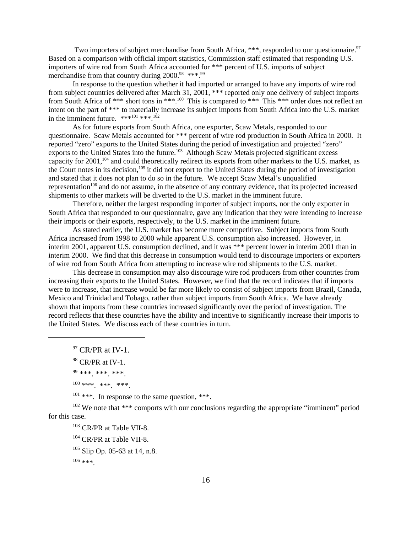Two importers of subject merchandise from South Africa, \*\*\*, responded to our questionnaire.<sup>97</sup> Based on a comparison with official import statistics, Commission staff estimated that responding U.S. importers of wire rod from South Africa accounted for \*\*\* percent of U.S. imports of subject merchandise from that country during 2000.<sup>98</sup> \*\*\*.<sup>99</sup>

In response to the question whether it had imported or arranged to have any imports of wire rod from subject countries delivered after March 31, 2001, \*\*\* reported only one delivery of subject imports from South Africa of \*\*\* short tons in \*\*\*.<sup>100</sup> This is compared to \*\*\* This \*\*\* order does not reflect an intent on the part of \*\*\* to materially increase its subject imports from South Africa into the U.S. market in the imminent future.  $***^{101}***^{102}$ 

 As for future exports from South Africa, one exporter, Scaw Metals, responded to our questionnaire. Scaw Metals accounted for \*\*\* percent of wire rod production in South Africa in 2000. It reported "zero" exports to the United States during the period of investigation and projected "zero" exports to the United States into the future.<sup>103</sup> Although Scaw Metals projected significant excess capacity for 2001,104 and could theoretically redirect its exports from other markets to the U.S. market, as the Court notes in its decision,<sup>105</sup> it did not export to the United States during the period of investigation and stated that it does not plan to do so in the future. We accept Scaw Metal's unqualified representation<sup>106</sup> and do not assume, in the absence of any contrary evidence, that its projected increased shipments to other markets will be diverted to the U.S. market in the imminent future.

Therefore, neither the largest responding importer of subject imports, nor the only exporter in South Africa that responded to our questionnaire, gave any indication that they were intending to increase their imports or their exports, respectively, to the U.S. market in the imminent future.

As stated earlier, the U.S. market has become more competitive. Subject imports from South Africa increased from 1998 to 2000 while apparent U.S. consumption also increased. However, in interim 2001, apparent U.S. consumption declined, and it was \*\*\* percent lower in interim 2001 than in interim 2000. We find that this decrease in consumption would tend to discourage importers or exporters of wire rod from South Africa from attempting to increase wire rod shipments to the U.S. market.

This decrease in consumption may also discourage wire rod producers from other countries from increasing their exports to the United States. However, we find that the record indicates that if imports were to increase, that increase would be far more likely to consist of subject imports from Brazil, Canada, Mexico and Trinidad and Tobago, rather than subject imports from South Africa. We have already shown that imports from these countries increased significantly over the period of investigation. The record reflects that these countries have the ability and incentive to significantly increase their imports to the United States. We discuss each of these countries in turn.

 $97$  CR/PR at IV-1.

```
100 ***. ***. ***.
```
 $101$  \*\*\*. In response to the same question, \*\*\*.

 $102$  We note that \*\*\* comports with our conclusions regarding the appropriate "imminent" period for this case.

<sup>103</sup> CR/PR at Table VII-8. <sup>104</sup> CR/PR at Table VII-8.  $105$  Slip Op. 05-63 at 14, n.8.  $106$  \*\*\*

 $98$  CR/PR at IV-1.

<sup>99 \*\*\*. \*\*\*. \*\*\*.</sup>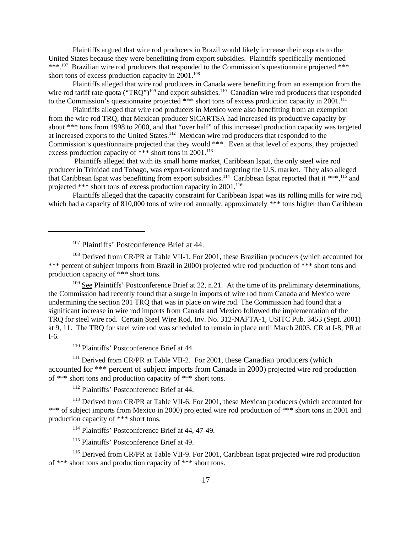Plaintiffs argued that wire rod producers in Brazil would likely increase their exports to the United States because they were benefitting from export subsidies. Plaintiffs specifically mentioned \*\*\*.<sup>107</sup> Brazilian wire rod producers that responded to the Commission's questionnaire projected \*\*\* short tons of excess production capacity in  $2001$ <sup>108</sup>

Plaintiffs alleged that wire rod producers in Canada were benefitting from an exemption from the wire rod tariff rate quota ("TRQ")<sup>109</sup> and export subsidies.<sup>110</sup> Canadian wire rod producers that responded to the Commission's questionnaire projected \*\*\* short tons of excess production capacity in 2001.<sup>111</sup>

Plaintiffs alleged that wire rod producers in Mexico were also benefitting from an exemption from the wire rod TRQ, that Mexican producer SICARTSA had increased its productive capacity by about \*\*\* tons from 1998 to 2000, and that "over half" of this increased production capacity was targeted at increased exports to the United States.<sup>112</sup> Mexican wire rod producers that responded to the Commission's questionnaire projected that they would \*\*\*. Even at that level of exports, they projected excess production capacity of \*\*\* short tons in  $2001$ .<sup>113</sup>

 Plaintiffs alleged that with its small home market, Caribbean Ispat, the only steel wire rod producer in Trinidad and Tobago, was export-oriented and targeting the U.S. market. They also alleged that Caribbean Ispat was benefitting from export subsidies.<sup>114</sup> Caribbean Ispat reported that it \*\*\*,<sup>115</sup> and projected \*\*\* short tons of excess production capacity in 2001.<sup>116</sup>

Plaintiffs alleged that the capacity constraint for Caribbean Ispat was its rolling mills for wire rod, which had a capacity of 810,000 tons of wire rod annually, approximately \*\*\* tons higher than Caribbean

<sup>107</sup> Plaintiffs' Postconference Brief at 44.

<sup>108</sup> Derived from CR/PR at Table VII-1. For 2001, these Brazilian producers (which accounted for \*\*\* percent of subject imports from Brazil in 2000) projected wire rod production of \*\*\* short tons and production capacity of \*\*\* short tons.

 $109$  See Plaintiffs' Postconference Brief at 22, n.21. At the time of its preliminary determinations, the Commission had recently found that a surge in imports of wire rod from Canada and Mexico were undermining the section 201 TRQ that was in place on wire rod. The Commission had found that a significant increase in wire rod imports from Canada and Mexico followed the implementation of the TRQ for steel wire rod. Certain Steel Wire Rod, Inv. No. 312-NAFTA-1, USITC Pub. 3453 (Sept. 2001) at 9, 11. The TRQ for steel wire rod was scheduled to remain in place until March 2003. CR at I-8; PR at I-6.

<sup>110</sup> Plaintiffs' Postconference Brief at 44.

<sup>111</sup> Derived from CR/PR at Table VII-2. For 2001, these Canadian producers (which accounted for \*\*\* percent of subject imports from Canada in 2000) projected wire rod production of \*\*\* short tons and production capacity of \*\*\* short tons.

<sup>112</sup> Plaintiffs' Postconference Brief at 44.

<sup>113</sup> Derived from CR/PR at Table VII-6. For 2001, these Mexican producers (which accounted for \*\*\* of subject imports from Mexico in 2000) projected wire rod production of \*\*\* short tons in 2001 and production capacity of \*\*\* short tons.

<sup>114</sup> Plaintiffs' Postconference Brief at 44, 47-49.

<sup>115</sup> Plaintiffs' Postconference Brief at 49.

<sup>116</sup> Derived from CR/PR at Table VII-9. For 2001, Caribbean Ispat projected wire rod production of \*\*\* short tons and production capacity of \*\*\* short tons.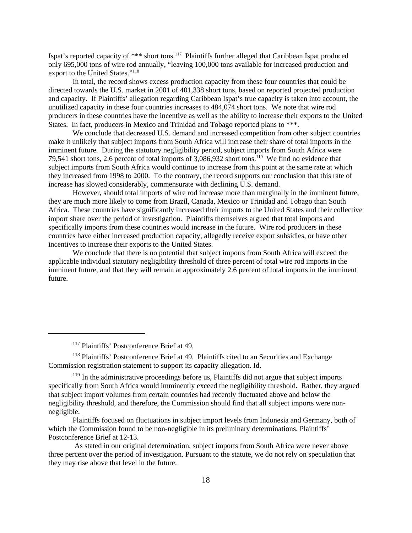Ispat's reported capacity of \*\*\* short tons.117 Plaintiffs further alleged that Caribbean Ispat produced only 695,000 tons of wire rod annually, "leaving 100,000 tons available for increased production and export to the United States."118

In total, the record shows excess production capacity from these four countries that could be directed towards the U.S. market in 2001 of 401,338 short tons, based on reported projected production and capacity. If Plaintiffs' allegation regarding Caribbean Ispat's true capacity is taken into account, the unutilized capacity in these four countries increases to 484,074 short tons. We note that wire rod producers in these countries have the incentive as well as the ability to increase their exports to the United States. In fact, producers in Mexico and Trinidad and Tobago reported plans to \*\*\*.

We conclude that decreased U.S. demand and increased competition from other subject countries make it unlikely that subject imports from South Africa will increase their share of total imports in the imminent future. During the statutory negligibility period, subject imports from South Africa were 79,541 short tons, 2.6 percent of total imports of 3,086,932 short tons.119 We find no evidence that subject imports from South Africa would continue to increase from this point at the same rate at which they increased from 1998 to 2000. To the contrary, the record supports our conclusion that this rate of increase has slowed considerably, commensurate with declining U.S. demand.

However, should total imports of wire rod increase more than marginally in the imminent future, they are much more likely to come from Brazil, Canada, Mexico or Trinidad and Tobago than South Africa. These countries have significantly increased their imports to the United States and their collective import share over the period of investigation. Plaintiffs themselves argued that total imports and specifically imports from these countries would increase in the future. Wire rod producers in these countries have either increased production capacity, allegedly receive export subsidies, or have other incentives to increase their exports to the United States.

We conclude that there is no potential that subject imports from South Africa will exceed the applicable individual statutory negligibility threshold of three percent of total wire rod imports in the imminent future, and that they will remain at approximately 2.6 percent of total imports in the imminent future.

<sup>&</sup>lt;sup>117</sup> Plaintiffs' Postconference Brief at 49.

<sup>&</sup>lt;sup>118</sup> Plaintiffs' Postconference Brief at 49. Plaintiffs cited to an Securities and Exchange Commission registration statement to support its capacity allegation. Id.

 $119$  In the administrative proceedings before us, Plaintiffs did not argue that subject imports specifically from South Africa would imminently exceed the negligibility threshold. Rather, they argued that subject import volumes from certain countries had recently fluctuated above and below the negligibility threshold, and therefore, the Commission should find that all subject imports were nonnegligible.

Plaintiffs focused on fluctuations in subject import levels from Indonesia and Germany, both of which the Commission found to be non-negligible in its preliminary determinations. Plaintiffs' Postconference Brief at 12-13.

As stated in our original determination, subject imports from South Africa were never above three percent over the period of investigation. Pursuant to the statute, we do not rely on speculation that they may rise above that level in the future.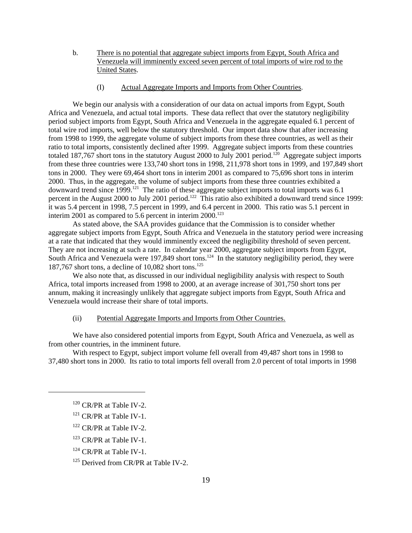- b. There is no potential that aggregate subject imports from Egypt, South Africa and Venezuela will imminently exceed seven percent of total imports of wire rod to the United States.
	- (I) Actual Aggregate Imports and Imports from Other Countries.

We begin our analysis with a consideration of our data on actual imports from Egypt, South Africa and Venezuela, and actual total imports. These data reflect that over the statutory negligibility period subject imports from Egypt, South Africa and Venezuela in the aggregate equaled 6.1 percent of total wire rod imports, well below the statutory threshold. Our import data show that after increasing from 1998 to 1999, the aggregate volume of subject imports from these three countries, as well as their ratio to total imports, consistently declined after 1999. Aggregate subject imports from these countries totaled 187,767 short tons in the statutory August 2000 to July 2001 period.<sup>120</sup> Aggregate subject imports from these three countries were 133,740 short tons in 1998, 211,978 short tons in 1999, and 197,849 short tons in 2000. They were 69,464 short tons in interim 2001 as compared to 75,696 short tons in interim 2000. Thus, in the aggregate, the volume of subject imports from these three countries exhibited a downward trend since 1999.<sup>121</sup> The ratio of these aggregate subject imports to total imports was 6.1 percent in the August 2000 to July 2001 period.<sup>122</sup> This ratio also exhibited a downward trend since 1999: it was 5.4 percent in 1998, 7.5 percent in 1999, and 6.4 percent in 2000. This ratio was 5.1 percent in interim 2001 as compared to 5.6 percent in interim  $2000$ <sup>123</sup>

As stated above, the SAA provides guidance that the Commission is to consider whether aggregate subject imports from Egypt, South Africa and Venezuela in the statutory period were increasing at a rate that indicated that they would imminently exceed the negligibility threshold of seven percent. They are not increasing at such a rate. In calendar year 2000, aggregate subject imports from Egypt, South Africa and Venezuela were 197,849 short tons.<sup>124</sup> In the statutory negligibility period, they were 187,767 short tons, a decline of 10,082 short tons.<sup>125</sup>

We also note that, as discussed in our individual negligibility analysis with respect to South Africa, total imports increased from 1998 to 2000, at an average increase of 301,750 short tons per annum, making it increasingly unlikely that aggregate subject imports from Egypt, South Africa and Venezuela would increase their share of total imports.

### (ii) Potential Aggregate Imports and Imports from Other Countries.

We have also considered potential imports from Egypt, South Africa and Venezuela, as well as from other countries, in the imminent future.

With respect to Egypt, subject import volume fell overall from 49,487 short tons in 1998 to 37,480 short tons in 2000. Its ratio to total imports fell overall from 2.0 percent of total imports in 1998

- $122$  CR/PR at Table IV-2.
- <sup>123</sup> CR/PR at Table IV-1.
- $124$  CR/PR at Table IV-1.

 $120$  CR/PR at Table IV-2.

 $121$  CR/PR at Table IV-1.

<sup>&</sup>lt;sup>125</sup> Derived from CR/PR at Table IV-2.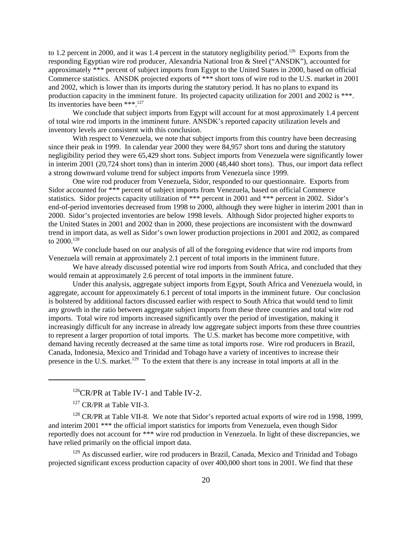to 1.2 percent in 2000, and it was 1.4 percent in the statutory negligibility period.<sup>126</sup> Exports from the responding Egyptian wire rod producer, Alexandria National Iron & Steel ("ANSDK"), accounted for approximately \*\*\* percent of subject imports from Egypt to the United States in 2000, based on official Commerce statistics. ANSDK projected exports of \*\*\* short tons of wire rod to the U.S. market in 2001 and 2002, which is lower than its imports during the statutory period. It has no plans to expand its production capacity in the imminent future. Its projected capacity utilization for 2001 and 2002 is \*\*\*. Its inventories have been \*\*\*.127

We conclude that subject imports from Egypt will account for at most approximately 1.4 percent of total wire rod imports in the imminent future. ANSDK's reported capacity utilization levels and inventory levels are consistent with this conclusion.

With respect to Venezuela, we note that subject imports from this country have been decreasing since their peak in 1999. In calendar year 2000 they were 84,957 short tons and during the statutory negligibility period they were 65,429 short tons. Subject imports from Venezuela were significantly lower in interim 2001 (20,724 short tons) than in interim 2000 (48,440 short tons). Thus, our import data reflect a strong downward volume trend for subject imports from Venezuela since 1999.

One wire rod producer from Venezuela, Sidor, responded to our questionnaire. Exports from Sidor accounted for \*\*\* percent of subject imports from Venezuela, based on official Commerce statistics. Sidor projects capacity utilization of \*\*\* percent in 2001 and \*\*\* percent in 2002. Sidor's end-of-period inventories decreased from 1998 to 2000, although they were higher in interim 2001 than in 2000. Sidor's projected inventories are below 1998 levels. Although Sidor projected higher exports to the United States in 2001 and 2002 than in 2000, these projections are inconsistent with the downward trend in import data, as well as Sidor's own lower production projections in 2001 and 2002, as compared to 2000.<sup>128</sup>

We conclude based on our analysis of all of the foregoing evidence that wire rod imports from Venezuela will remain at approximately 2.1 percent of total imports in the imminent future.

We have already discussed potential wire rod imports from South Africa, and concluded that they would remain at approximately 2.6 percent of total imports in the imminent future.

Under this analysis, aggregate subject imports from Egypt, South Africa and Venezuela would, in aggregate, account for approximately 6.1 percent of total imports in the imminent future. Our conclusion is bolstered by additional factors discussed earlier with respect to South Africa that would tend to limit any growth in the ratio between aggregate subject imports from these three countries and total wire rod imports. Total wire rod imports increased significantly over the period of investigation, making it increasingly difficult for any increase in already low aggregate subject imports from these three countries to represent a larger proportion of total imports. The U.S. market has become more competitive, with demand having recently decreased at the same time as total imports rose. Wire rod producers in Brazil, Canada, Indonesia, Mexico and Trinidad and Tobago have a variety of incentives to increase their presence in the U.S. market.<sup>129</sup> To the extent that there is any increase in total imports at all in the

 $128$  CR/PR at Table VII-8. We note that Sidor's reported actual exports of wire rod in 1998, 1999, and interim 2001 \*\*\* the official import statistics for imports from Venezuela, even though Sidor reportedly does not account for \*\*\* wire rod production in Venezuela. In light of these discrepancies, we have relied primarily on the official import data.

 $129$  As discussed earlier, wire rod producers in Brazil, Canada, Mexico and Trinidad and Tobago projected significant excess production capacity of over 400,000 short tons in 2001. We find that these

<sup>&</sup>lt;sup>126</sup>CR/PR at Table IV-1 and Table IV-2.

<sup>&</sup>lt;sup>127</sup> CR/PR at Table VII-3.